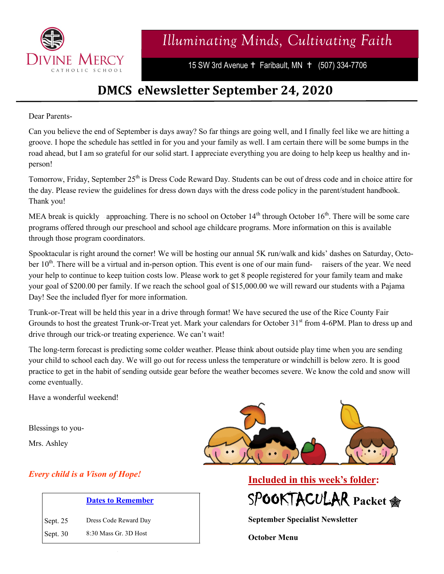

15 SW 3rd Avenue + Faribault, MN + (507) 334-7706

## **DMCS eNewsletter September 24, 2020**

Dear Parents-

Can you believe the end of September is days away? So far things are going well, and I finally feel like we are hitting a groove. I hope the schedule has settled in for you and your family as well. I am certain there will be some bumps in the road ahead, but I am so grateful for our solid start. I appreciate everything you are doing to help keep us healthy and inperson!

Tomorrow, Friday, September 25<sup>th</sup> is Dress Code Reward Day. Students can be out of dress code and in choice attire for the day. Please review the guidelines for dress down days with the dress code policy in the parent/student handbook. Thank you!

MEA break is quickly approaching. There is no school on October  $14<sup>th</sup>$  through October  $16<sup>th</sup>$ . There will be some care programs offered through our preschool and school age childcare programs. More information on this is available through those program coordinators.

Spooktacular is right around the corner! We will be hosting our annual 5K run/walk and kids' dashes on Saturday, October 10<sup>th</sup>. There will be a virtual and in-person option. This event is one of our main fund- raisers of the year. We need your help to continue to keep tuition costs low. Please work to get 8 people registered for your family team and make your goal of \$200.00 per family. If we reach the school goal of \$15,000.00 we will reward our students with a Pajama Day! See the included flyer for more information.

Trunk-or-Treat will be held this year in a drive through format! We have secured the use of the Rice County Fair Grounds to host the greatest Trunk-or-Treat yet. Mark your calendars for October 31<sup>st</sup> from 4-6PM. Plan to dress up and drive through our trick-or treating experience. We can't wait!

The long-term forecast is predicting some colder weather. Please think about outside play time when you are sending your child to school each day. We will go out for recess unless the temperature or windchill is below zero. It is good practice to get in the habit of sending outside gear before the weather becomes severe. We know the cold and snow will come eventually.

Have a wonderful weekend!

Blessings to you-

Mrs. Ashley

## *Every child is a Vison of Hope!*

| <b>Dates to Remember</b> |  |  |
|--------------------------|--|--|
|                          |  |  |
|                          |  |  |

Sept. 25 Dress Code Reward Day Sept. 30 8:30 Mass Gr. 3D Host





**September Specialist Newsletter**

**October Menu**